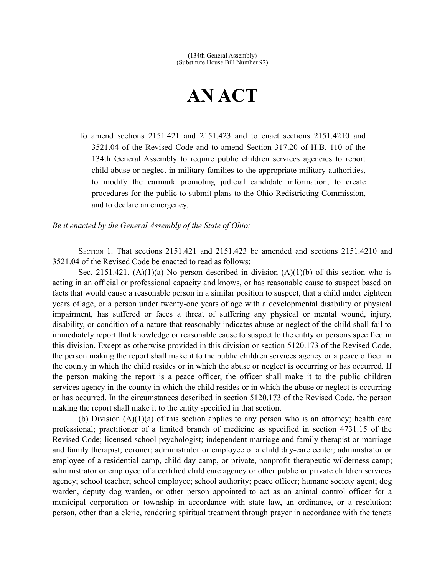# **AN ACT**

To amend sections 2151.421 and 2151.423 and to enact sections 2151.4210 and 3521.04 of the Revised Code and to amend Section 317.20 of H.B. 110 of the 134th General Assembly to require public children services agencies to report child abuse or neglect in military families to the appropriate military authorities, to modify the earmark promoting judicial candidate information, to create procedures for the public to submit plans to the Ohio Redistricting Commission, and to declare an emergency.

*Be it enacted by the General Assembly of the State of Ohio:*

SECTION 1. That sections 2151.421 and 2151.423 be amended and sections 2151.4210 and 3521.04 of the Revised Code be enacted to read as follows:

Sec. 2151.421. (A)(1)(a) No person described in division (A)(1)(b) of this section who is acting in an official or professional capacity and knows, or has reasonable cause to suspect based on facts that would cause a reasonable person in a similar position to suspect, that a child under eighteen years of age, or a person under twenty-one years of age with a developmental disability or physical impairment, has suffered or faces a threat of suffering any physical or mental wound, injury, disability, or condition of a nature that reasonably indicates abuse or neglect of the child shall fail to immediately report that knowledge or reasonable cause to suspect to the entity or persons specified in this division. Except as otherwise provided in this division or section 5120.173 of the Revised Code, the person making the report shall make it to the public children services agency or a peace officer in the county in which the child resides or in which the abuse or neglect is occurring or has occurred. If the person making the report is a peace officer, the officer shall make it to the public children services agency in the county in which the child resides or in which the abuse or neglect is occurring or has occurred. In the circumstances described in section 5120.173 of the Revised Code, the person making the report shall make it to the entity specified in that section.

(b) Division  $(A)(1)(a)$  of this section applies to any person who is an attorney; health care professional; practitioner of a limited branch of medicine as specified in section 4731.15 of the Revised Code; licensed school psychologist; independent marriage and family therapist or marriage and family therapist; coroner; administrator or employee of a child day-care center; administrator or employee of a residential camp, child day camp, or private, nonprofit therapeutic wilderness camp; administrator or employee of a certified child care agency or other public or private children services agency; school teacher; school employee; school authority; peace officer; humane society agent; dog warden, deputy dog warden, or other person appointed to act as an animal control officer for a municipal corporation or township in accordance with state law, an ordinance, or a resolution; person, other than a cleric, rendering spiritual treatment through prayer in accordance with the tenets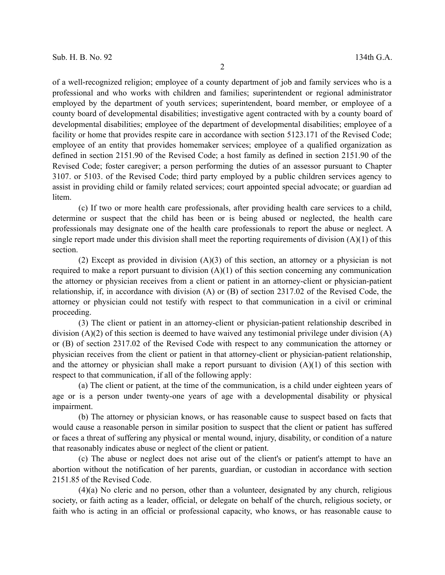of a well-recognized religion; employee of a county department of job and family services who is a professional and who works with children and families; superintendent or regional administrator employed by the department of youth services; superintendent, board member, or employee of a county board of developmental disabilities; investigative agent contracted with by a county board of developmental disabilities; employee of the department of developmental disabilities; employee of a facility or home that provides respite care in accordance with section 5123.171 of the Revised Code; employee of an entity that provides homemaker services; employee of a qualified organization as defined in section 2151.90 of the Revised Code; a host family as defined in section 2151.90 of the Revised Code; foster caregiver; a person performing the duties of an assessor pursuant to Chapter 3107. or 5103. of the Revised Code; third party employed by a public children services agency to assist in providing child or family related services; court appointed special advocate; or guardian ad **litem** 

(c) If two or more health care professionals, after providing health care services to a child, determine or suspect that the child has been or is being abused or neglected, the health care professionals may designate one of the health care professionals to report the abuse or neglect. A single report made under this division shall meet the reporting requirements of division (A)(1) of this section.

(2) Except as provided in division  $(A)(3)$  of this section, an attorney or a physician is not required to make a report pursuant to division (A)(1) of this section concerning any communication the attorney or physician receives from a client or patient in an attorney-client or physician-patient relationship, if, in accordance with division (A) or (B) of section 2317.02 of the Revised Code, the attorney or physician could not testify with respect to that communication in a civil or criminal proceeding.

(3) The client or patient in an attorney-client or physician-patient relationship described in division  $(A)(2)$  of this section is deemed to have waived any testimonial privilege under division  $(A)$ or (B) of section 2317.02 of the Revised Code with respect to any communication the attorney or physician receives from the client or patient in that attorney-client or physician-patient relationship, and the attorney or physician shall make a report pursuant to division  $(A)(1)$  of this section with respect to that communication, if all of the following apply:

(a) The client or patient, at the time of the communication, is a child under eighteen years of age or is a person under twenty-one years of age with a developmental disability or physical impairment.

(b) The attorney or physician knows, or has reasonable cause to suspect based on facts that would cause a reasonable person in similar position to suspect that the client or patient has suffered or faces a threat of suffering any physical or mental wound, injury, disability, or condition of a nature that reasonably indicates abuse or neglect of the client or patient.

(c) The abuse or neglect does not arise out of the client's or patient's attempt to have an abortion without the notification of her parents, guardian, or custodian in accordance with section 2151.85 of the Revised Code.

(4)(a) No cleric and no person, other than a volunteer, designated by any church, religious society, or faith acting as a leader, official, or delegate on behalf of the church, religious society, or faith who is acting in an official or professional capacity, who knows, or has reasonable cause to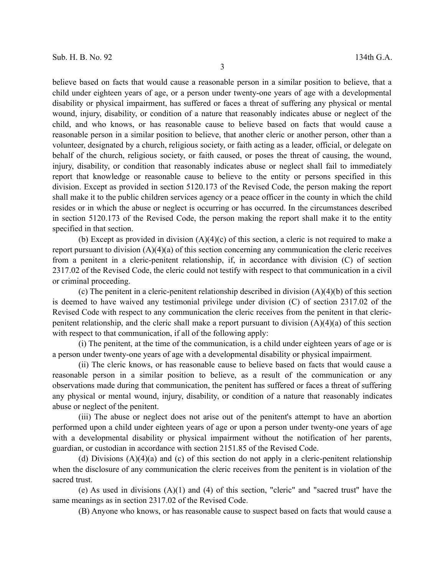believe based on facts that would cause a reasonable person in a similar position to believe, that a child under eighteen years of age, or a person under twenty-one years of age with a developmental disability or physical impairment, has suffered or faces a threat of suffering any physical or mental wound, injury, disability, or condition of a nature that reasonably indicates abuse or neglect of the child, and who knows, or has reasonable cause to believe based on facts that would cause a reasonable person in a similar position to believe, that another cleric or another person, other than a volunteer, designated by a church, religious society, or faith acting as a leader, official, or delegate on behalf of the church, religious society, or faith caused, or poses the threat of causing, the wound, injury, disability, or condition that reasonably indicates abuse or neglect shall fail to immediately report that knowledge or reasonable cause to believe to the entity or persons specified in this division. Except as provided in section 5120.173 of the Revised Code, the person making the report shall make it to the public children services agency or a peace officer in the county in which the child resides or in which the abuse or neglect is occurring or has occurred. In the circumstances described in section 5120.173 of the Revised Code, the person making the report shall make it to the entity specified in that section.

(b) Except as provided in division (A)(4)(c) of this section, a cleric is not required to make a report pursuant to division (A)(4)(a) of this section concerning any communication the cleric receives from a penitent in a cleric-penitent relationship, if, in accordance with division (C) of section 2317.02 of the Revised Code, the cleric could not testify with respect to that communication in a civil or criminal proceeding.

(c) The penitent in a cleric-penitent relationship described in division  $(A)(4)(b)$  of this section is deemed to have waived any testimonial privilege under division (C) of section 2317.02 of the Revised Code with respect to any communication the cleric receives from the penitent in that clericpenitent relationship, and the cleric shall make a report pursuant to division  $(A)(4)(a)$  of this section with respect to that communication, if all of the following apply:

(i) The penitent, at the time of the communication, is a child under eighteen years of age or is a person under twenty-one years of age with a developmental disability or physical impairment.

(ii) The cleric knows, or has reasonable cause to believe based on facts that would cause a reasonable person in a similar position to believe, as a result of the communication or any observations made during that communication, the penitent has suffered or faces a threat of suffering any physical or mental wound, injury, disability, or condition of a nature that reasonably indicates abuse or neglect of the penitent.

(iii) The abuse or neglect does not arise out of the penitent's attempt to have an abortion performed upon a child under eighteen years of age or upon a person under twenty-one years of age with a developmental disability or physical impairment without the notification of her parents, guardian, or custodian in accordance with section 2151.85 of the Revised Code.

(d) Divisions  $(A)(4)(a)$  and (c) of this section do not apply in a cleric-penitent relationship when the disclosure of any communication the cleric receives from the penitent is in violation of the sacred trust.

(e) As used in divisions (A)(1) and (4) of this section, "cleric" and "sacred trust" have the same meanings as in section 2317.02 of the Revised Code.

(B) Anyone who knows, or has reasonable cause to suspect based on facts that would cause a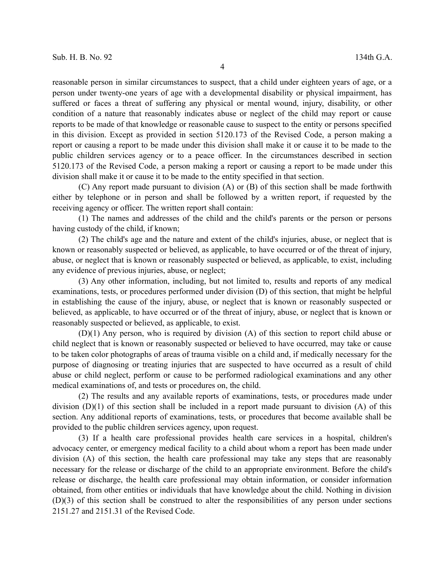reasonable person in similar circumstances to suspect, that a child under eighteen years of age, or a person under twenty-one years of age with a developmental disability or physical impairment, has suffered or faces a threat of suffering any physical or mental wound, injury, disability, or other condition of a nature that reasonably indicates abuse or neglect of the child may report or cause reports to be made of that knowledge or reasonable cause to suspect to the entity or persons specified in this division. Except as provided in section 5120.173 of the Revised Code, a person making a report or causing a report to be made under this division shall make it or cause it to be made to the public children services agency or to a peace officer. In the circumstances described in section 5120.173 of the Revised Code, a person making a report or causing a report to be made under this division shall make it or cause it to be made to the entity specified in that section.

(C) Any report made pursuant to division (A) or (B) of this section shall be made forthwith either by telephone or in person and shall be followed by a written report, if requested by the receiving agency or officer. The written report shall contain:

(1) The names and addresses of the child and the child's parents or the person or persons having custody of the child, if known;

(2) The child's age and the nature and extent of the child's injuries, abuse, or neglect that is known or reasonably suspected or believed, as applicable, to have occurred or of the threat of injury, abuse, or neglect that is known or reasonably suspected or believed, as applicable, to exist, including any evidence of previous injuries, abuse, or neglect;

(3) Any other information, including, but not limited to, results and reports of any medical examinations, tests, or procedures performed under division (D) of this section, that might be helpful in establishing the cause of the injury, abuse, or neglect that is known or reasonably suspected or believed, as applicable, to have occurred or of the threat of injury, abuse, or neglect that is known or reasonably suspected or believed, as applicable, to exist.

(D)(1) Any person, who is required by division (A) of this section to report child abuse or child neglect that is known or reasonably suspected or believed to have occurred, may take or cause to be taken color photographs of areas of trauma visible on a child and, if medically necessary for the purpose of diagnosing or treating injuries that are suspected to have occurred as a result of child abuse or child neglect, perform or cause to be performed radiological examinations and any other medical examinations of, and tests or procedures on, the child.

(2) The results and any available reports of examinations, tests, or procedures made under division (D)(1) of this section shall be included in a report made pursuant to division (A) of this section. Any additional reports of examinations, tests, or procedures that become available shall be provided to the public children services agency, upon request.

(3) If a health care professional provides health care services in a hospital, children's advocacy center, or emergency medical facility to a child about whom a report has been made under division (A) of this section, the health care professional may take any steps that are reasonably necessary for the release or discharge of the child to an appropriate environment. Before the child's release or discharge, the health care professional may obtain information, or consider information obtained, from other entities or individuals that have knowledge about the child. Nothing in division (D)(3) of this section shall be construed to alter the responsibilities of any person under sections 2151.27 and 2151.31 of the Revised Code.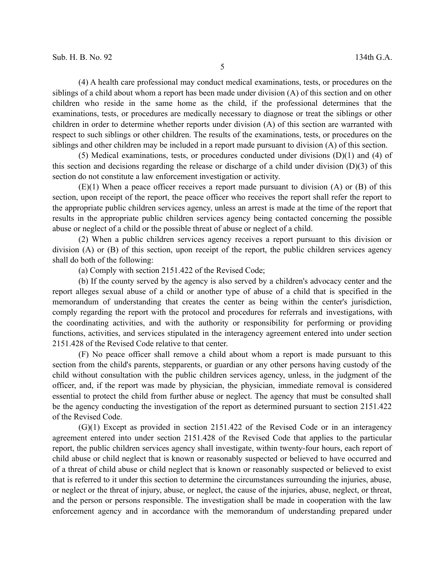(4) A health care professional may conduct medical examinations, tests, or procedures on the siblings of a child about whom a report has been made under division (A) of this section and on other children who reside in the same home as the child, if the professional determines that the examinations, tests, or procedures are medically necessary to diagnose or treat the siblings or other children in order to determine whether reports under division (A) of this section are warranted with respect to such siblings or other children. The results of the examinations, tests, or procedures on the siblings and other children may be included in a report made pursuant to division (A) of this section.

(5) Medical examinations, tests, or procedures conducted under divisions (D)(1) and (4) of this section and decisions regarding the release or discharge of a child under division (D)(3) of this section do not constitute a law enforcement investigation or activity.

(E)(1) When a peace officer receives a report made pursuant to division (A) or (B) of this section, upon receipt of the report, the peace officer who receives the report shall refer the report to the appropriate public children services agency, unless an arrest is made at the time of the report that results in the appropriate public children services agency being contacted concerning the possible abuse or neglect of a child or the possible threat of abuse or neglect of a child.

(2) When a public children services agency receives a report pursuant to this division or division (A) or (B) of this section, upon receipt of the report, the public children services agency shall do both of the following:

(a) Comply with section 2151.422 of the Revised Code;

(b) If the county served by the agency is also served by a children's advocacy center and the report alleges sexual abuse of a child or another type of abuse of a child that is specified in the memorandum of understanding that creates the center as being within the center's jurisdiction, comply regarding the report with the protocol and procedures for referrals and investigations, with the coordinating activities, and with the authority or responsibility for performing or providing functions, activities, and services stipulated in the interagency agreement entered into under section 2151.428 of the Revised Code relative to that center.

(F) No peace officer shall remove a child about whom a report is made pursuant to this section from the child's parents, stepparents, or guardian or any other persons having custody of the child without consultation with the public children services agency, unless, in the judgment of the officer, and, if the report was made by physician, the physician, immediate removal is considered essential to protect the child from further abuse or neglect. The agency that must be consulted shall be the agency conducting the investigation of the report as determined pursuant to section 2151.422 of the Revised Code.

(G)(1) Except as provided in section 2151.422 of the Revised Code or in an interagency agreement entered into under section 2151.428 of the Revised Code that applies to the particular report, the public children services agency shall investigate, within twenty-four hours, each report of child abuse or child neglect that is known or reasonably suspected or believed to have occurred and of a threat of child abuse or child neglect that is known or reasonably suspected or believed to exist that is referred to it under this section to determine the circumstances surrounding the injuries, abuse, or neglect or the threat of injury, abuse, or neglect, the cause of the injuries, abuse, neglect, or threat, and the person or persons responsible. The investigation shall be made in cooperation with the law enforcement agency and in accordance with the memorandum of understanding prepared under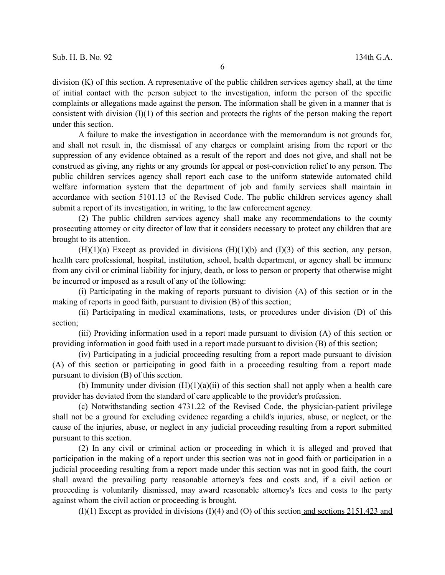division (K) of this section. A representative of the public children services agency shall, at the time of initial contact with the person subject to the investigation, inform the person of the specific complaints or allegations made against the person. The information shall be given in a manner that is consistent with division (I)(1) of this section and protects the rights of the person making the report under this section.

A failure to make the investigation in accordance with the memorandum is not grounds for, and shall not result in, the dismissal of any charges or complaint arising from the report or the suppression of any evidence obtained as a result of the report and does not give, and shall not be construed as giving, any rights or any grounds for appeal or post-conviction relief to any person. The public children services agency shall report each case to the uniform statewide automated child welfare information system that the department of job and family services shall maintain in accordance with section 5101.13 of the Revised Code. The public children services agency shall submit a report of its investigation, in writing, to the law enforcement agency.

(2) The public children services agency shall make any recommendations to the county prosecuting attorney or city director of law that it considers necessary to protect any children that are brought to its attention.

 $(H)(1)(a)$  Except as provided in divisions  $(H)(1)(b)$  and  $(I)(3)$  of this section, any person, health care professional, hospital, institution, school, health department, or agency shall be immune from any civil or criminal liability for injury, death, or loss to person or property that otherwise might be incurred or imposed as a result of any of the following:

(i) Participating in the making of reports pursuant to division (A) of this section or in the making of reports in good faith, pursuant to division (B) of this section;

(ii) Participating in medical examinations, tests, or procedures under division (D) of this section;

(iii) Providing information used in a report made pursuant to division (A) of this section or providing information in good faith used in a report made pursuant to division (B) of this section;

(iv) Participating in a judicial proceeding resulting from a report made pursuant to division (A) of this section or participating in good faith in a proceeding resulting from a report made pursuant to division (B) of this section.

(b) Immunity under division  $(H)(1)(a)(ii)$  of this section shall not apply when a health care provider has deviated from the standard of care applicable to the provider's profession.

(c) Notwithstanding section 4731.22 of the Revised Code, the physician-patient privilege shall not be a ground for excluding evidence regarding a child's injuries, abuse, or neglect, or the cause of the injuries, abuse, or neglect in any judicial proceeding resulting from a report submitted pursuant to this section.

(2) In any civil or criminal action or proceeding in which it is alleged and proved that participation in the making of a report under this section was not in good faith or participation in a judicial proceeding resulting from a report made under this section was not in good faith, the court shall award the prevailing party reasonable attorney's fees and costs and, if a civil action or proceeding is voluntarily dismissed, may award reasonable attorney's fees and costs to the party against whom the civil action or proceeding is brought.

(I)(1) Except as provided in divisions (I)(4) and (O) of this section and sections 2151.423 and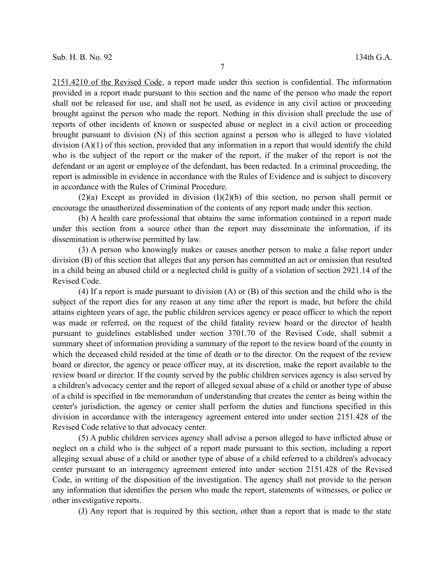2151.4210 of the Revised Code, a report made under this section is confidential. The information provided in a report made pursuant to this section and the name of the person who made the report shall not be released for use, and shall not be used, as evidence in any civil action or proceeding brought against the person who made the report. Nothing in this division shall preclude the use of reports of other incidents of known or suspected abuse or neglect in a civil action or proceeding brought pursuant to division (N) of this section against a person who is alleged to have violated division (A)(1) of this section, provided that any information in a report that would identify the child who is the subject of the report or the maker of the report, if the maker of the report is not the defendant or an agent or employee of the defendant, has been redacted. In a criminal proceeding, the report is admissible in evidence in accordance with the Rules of Evidence and is subject to discovery in accordance with the Rules of Criminal Procedure.

 $(2)(a)$  Except as provided in division  $(I)(2)(b)$  of this section, no person shall permit or encourage the unauthorized dissemination of the contents of any report made under this section.

(b) A health care professional that obtains the same information contained in a report made under this section from a source other than the report may disseminate the information, if its dissemination is otherwise permitted by law.

(3) A person who knowingly makes or causes another person to make a false report under division (B) of this section that alleges that any person has committed an act or omission that resulted in a child being an abused child or a neglected child is guilty of a violation of section 2921.14 of the Revised Code.

(4) If a report is made pursuant to division (A) or (B) of this section and the child who is the subject of the report dies for any reason at any time after the report is made, but before the child attains eighteen years of age, the public children services agency or peace officer to which the report was made or referred, on the request of the child fatality review board or the director of health pursuant to guidelines established under section 3701.70 of the Revised Code, shall submit a summary sheet of information providing a summary of the report to the review board of the county in which the deceased child resided at the time of death or to the director. On the request of the review board or director, the agency or peace officer may, at its discretion, make the report available to the review board or director. If the county served by the public children services agency is also served by a children's advocacy center and the report of alleged sexual abuse of a child or another type of abuse of a child is specified in the memorandum of understanding that creates the center as being within the center's jurisdiction, the agency or center shall perform the duties and functions specified in this division in accordance with the interagency agreement entered into under section 2151.428 of the Revised Code relative to that advocacy center.

(5) A public children services agency shall advise a person alleged to have inflicted abuse or neglect on a child who is the subject of a report made pursuant to this section, including a report alleging sexual abuse of a child or another type of abuse of a child referred to a children's advocacy center pursuant to an interagency agreement entered into under section 2151.428 of the Revised Code, in writing of the disposition of the investigation. The agency shall not provide to the person any information that identifies the person who made the report, statements of witnesses, or police or other investigative reports.

(J) Any report that is required by this section, other than a report that is made to the state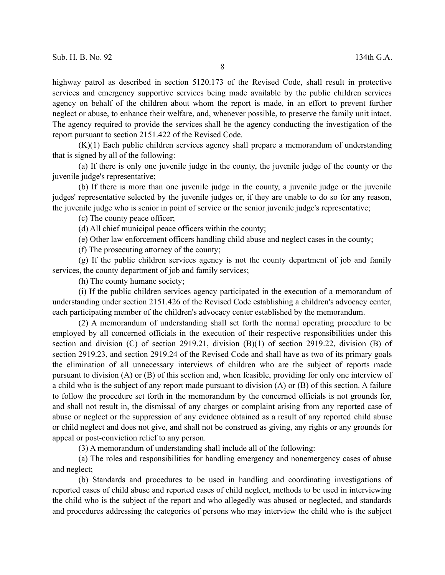highway patrol as described in section 5120.173 of the Revised Code, shall result in protective services and emergency supportive services being made available by the public children services agency on behalf of the children about whom the report is made, in an effort to prevent further neglect or abuse, to enhance their welfare, and, whenever possible, to preserve the family unit intact. The agency required to provide the services shall be the agency conducting the investigation of the report pursuant to section 2151.422 of the Revised Code.

(K)(1) Each public children services agency shall prepare a memorandum of understanding that is signed by all of the following:

(a) If there is only one juvenile judge in the county, the juvenile judge of the county or the juvenile judge's representative;

(b) If there is more than one juvenile judge in the county, a juvenile judge or the juvenile judges' representative selected by the juvenile judges or, if they are unable to do so for any reason, the juvenile judge who is senior in point of service or the senior juvenile judge's representative;

(c) The county peace officer;

(d) All chief municipal peace officers within the county;

(e) Other law enforcement officers handling child abuse and neglect cases in the county;

(f) The prosecuting attorney of the county;

(g) If the public children services agency is not the county department of job and family services, the county department of job and family services;

(h) The county humane society;

(i) If the public children services agency participated in the execution of a memorandum of understanding under section 2151.426 of the Revised Code establishing a children's advocacy center, each participating member of the children's advocacy center established by the memorandum.

(2) A memorandum of understanding shall set forth the normal operating procedure to be employed by all concerned officials in the execution of their respective responsibilities under this section and division (C) of section 2919.21, division (B)(1) of section 2919.22, division (B) of section 2919.23, and section 2919.24 of the Revised Code and shall have as two of its primary goals the elimination of all unnecessary interviews of children who are the subject of reports made pursuant to division (A) or (B) of this section and, when feasible, providing for only one interview of a child who is the subject of any report made pursuant to division (A) or (B) of this section. A failure to follow the procedure set forth in the memorandum by the concerned officials is not grounds for, and shall not result in, the dismissal of any charges or complaint arising from any reported case of abuse or neglect or the suppression of any evidence obtained as a result of any reported child abuse or child neglect and does not give, and shall not be construed as giving, any rights or any grounds for appeal or post-conviction relief to any person.

(3) A memorandum of understanding shall include all of the following:

(a) The roles and responsibilities for handling emergency and nonemergency cases of abuse and neglect;

(b) Standards and procedures to be used in handling and coordinating investigations of reported cases of child abuse and reported cases of child neglect, methods to be used in interviewing the child who is the subject of the report and who allegedly was abused or neglected, and standards and procedures addressing the categories of persons who may interview the child who is the subject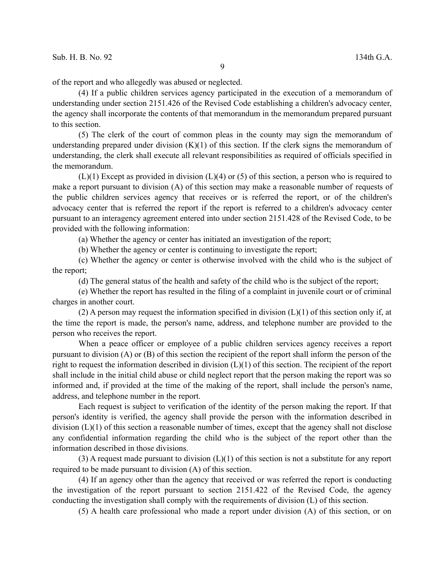9

of the report and who allegedly was abused or neglected.

(4) If a public children services agency participated in the execution of a memorandum of understanding under section 2151.426 of the Revised Code establishing a children's advocacy center, the agency shall incorporate the contents of that memorandum in the memorandum prepared pursuant to this section.

(5) The clerk of the court of common pleas in the county may sign the memorandum of understanding prepared under division  $(K)(1)$  of this section. If the clerk signs the memorandum of understanding, the clerk shall execute all relevant responsibilities as required of officials specified in the memorandum.

(L)(1) Except as provided in division (L)(4) or (5) of this section, a person who is required to make a report pursuant to division (A) of this section may make a reasonable number of requests of the public children services agency that receives or is referred the report, or of the children's advocacy center that is referred the report if the report is referred to a children's advocacy center pursuant to an interagency agreement entered into under section 2151.428 of the Revised Code, to be provided with the following information:

(a) Whether the agency or center has initiated an investigation of the report;

(b) Whether the agency or center is continuing to investigate the report;

(c) Whether the agency or center is otherwise involved with the child who is the subject of the report;

(d) The general status of the health and safety of the child who is the subject of the report;

(e) Whether the report has resulted in the filing of a complaint in juvenile court or of criminal charges in another court.

 $(2)$  A person may request the information specified in division  $(L)(1)$  of this section only if, at the time the report is made, the person's name, address, and telephone number are provided to the person who receives the report.

When a peace officer or employee of a public children services agency receives a report pursuant to division (A) or (B) of this section the recipient of the report shall inform the person of the right to request the information described in division (L)(1) of this section. The recipient of the report shall include in the initial child abuse or child neglect report that the person making the report was so informed and, if provided at the time of the making of the report, shall include the person's name, address, and telephone number in the report.

Each request is subject to verification of the identity of the person making the report. If that person's identity is verified, the agency shall provide the person with the information described in division (L)(1) of this section a reasonable number of times, except that the agency shall not disclose any confidential information regarding the child who is the subject of the report other than the information described in those divisions.

(3) A request made pursuant to division (L)(1) of this section is not a substitute for any report required to be made pursuant to division (A) of this section.

(4) If an agency other than the agency that received or was referred the report is conducting the investigation of the report pursuant to section 2151.422 of the Revised Code, the agency conducting the investigation shall comply with the requirements of division (L) of this section.

(5) A health care professional who made a report under division (A) of this section, or on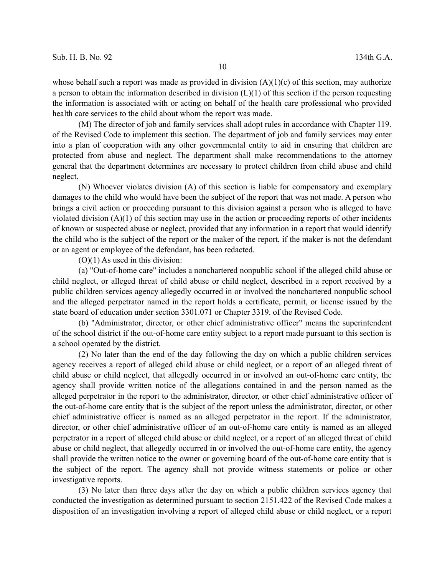whose behalf such a report was made as provided in division  $(A)(1)(c)$  of this section, may authorize a person to obtain the information described in division  $(L)(1)$  of this section if the person requesting the information is associated with or acting on behalf of the health care professional who provided health care services to the child about whom the report was made.

(M) The director of job and family services shall adopt rules in accordance with Chapter 119. of the Revised Code to implement this section. The department of job and family services may enter into a plan of cooperation with any other governmental entity to aid in ensuring that children are protected from abuse and neglect. The department shall make recommendations to the attorney general that the department determines are necessary to protect children from child abuse and child neglect.

(N) Whoever violates division (A) of this section is liable for compensatory and exemplary damages to the child who would have been the subject of the report that was not made. A person who brings a civil action or proceeding pursuant to this division against a person who is alleged to have violated division (A)(1) of this section may use in the action or proceeding reports of other incidents of known or suspected abuse or neglect, provided that any information in a report that would identify the child who is the subject of the report or the maker of the report, if the maker is not the defendant or an agent or employee of the defendant, has been redacted.

(O)(1) As used in this division:

(a) "Out-of-home care" includes a nonchartered nonpublic school if the alleged child abuse or child neglect, or alleged threat of child abuse or child neglect, described in a report received by a public children services agency allegedly occurred in or involved the nonchartered nonpublic school and the alleged perpetrator named in the report holds a certificate, permit, or license issued by the state board of education under section 3301.071 or Chapter 3319. of the Revised Code.

(b) "Administrator, director, or other chief administrative officer" means the superintendent of the school district if the out-of-home care entity subject to a report made pursuant to this section is a school operated by the district.

(2) No later than the end of the day following the day on which a public children services agency receives a report of alleged child abuse or child neglect, or a report of an alleged threat of child abuse or child neglect, that allegedly occurred in or involved an out-of-home care entity, the agency shall provide written notice of the allegations contained in and the person named as the alleged perpetrator in the report to the administrator, director, or other chief administrative officer of the out-of-home care entity that is the subject of the report unless the administrator, director, or other chief administrative officer is named as an alleged perpetrator in the report. If the administrator, director, or other chief administrative officer of an out-of-home care entity is named as an alleged perpetrator in a report of alleged child abuse or child neglect, or a report of an alleged threat of child abuse or child neglect, that allegedly occurred in or involved the out-of-home care entity, the agency shall provide the written notice to the owner or governing board of the out-of-home care entity that is the subject of the report. The agency shall not provide witness statements or police or other investigative reports.

(3) No later than three days after the day on which a public children services agency that conducted the investigation as determined pursuant to section 2151.422 of the Revised Code makes a disposition of an investigation involving a report of alleged child abuse or child neglect, or a report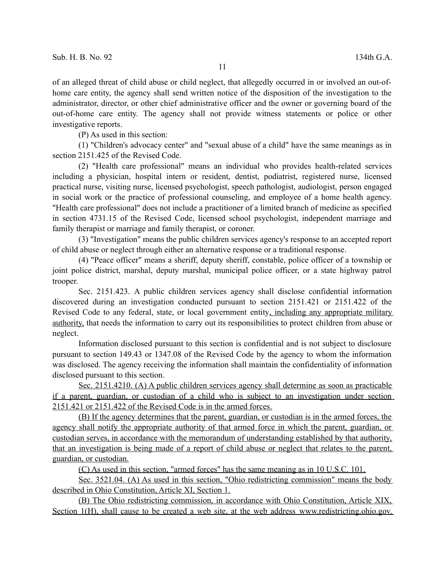of an alleged threat of child abuse or child neglect, that allegedly occurred in or involved an out-ofhome care entity, the agency shall send written notice of the disposition of the investigation to the administrator, director, or other chief administrative officer and the owner or governing board of the out-of-home care entity. The agency shall not provide witness statements or police or other investigative reports.

(P) As used in this section:

(1) "Children's advocacy center" and "sexual abuse of a child" have the same meanings as in section 2151.425 of the Revised Code.

(2) "Health care professional" means an individual who provides health-related services including a physician, hospital intern or resident, dentist, podiatrist, registered nurse, licensed practical nurse, visiting nurse, licensed psychologist, speech pathologist, audiologist, person engaged in social work or the practice of professional counseling, and employee of a home health agency. "Health care professional" does not include a practitioner of a limited branch of medicine as specified in section 4731.15 of the Revised Code, licensed school psychologist, independent marriage and family therapist or marriage and family therapist, or coroner.

(3) "Investigation" means the public children services agency's response to an accepted report of child abuse or neglect through either an alternative response or a traditional response.

(4) "Peace officer" means a sheriff, deputy sheriff, constable, police officer of a township or joint police district, marshal, deputy marshal, municipal police officer, or a state highway patrol trooper.

Sec. 2151.423. A public children services agency shall disclose confidential information discovered during an investigation conducted pursuant to section 2151.421 or 2151.422 of the Revised Code to any federal, state, or local government entity, including any appropriate military authority, that needs the information to carry out its responsibilities to protect children from abuse or neglect.

Information disclosed pursuant to this section is confidential and is not subject to disclosure pursuant to section 149.43 or 1347.08 of the Revised Code by the agency to whom the information was disclosed. The agency receiving the information shall maintain the confidentiality of information disclosed pursuant to this section.

 Sec. 2151.4210. (A) A public children services agency shall determine as soon as practicable if a parent, guardian, or custodian of a child who is subject to an investigation under section 2151.421 or 2151.422 of the Revised Code is in the armed forces.

(B) If the agency determines that the parent, guardian, or custodian is in the armed forces, the agency shall notify the appropriate authority of that armed force in which the parent, guardian, or custodian serves, in accordance with the memorandum of understanding established by that authority, that an investigation is being made of a report of child abuse or neglect that relates to the parent, guardian, or custodian.

(C) As used in this section, "armed forces" has the same meaning as in 10 U.S.C. 101.

 Sec. 3521.04. (A) As used in this section, "Ohio redistricting commission" means the body described in Ohio Constitution, Article XI, Section 1.

(B) The Ohio redistricting commission, in accordance with Ohio Constitution, Article XIX, Section 1(H), shall cause to be created a web site, at the web address www.redistricting.ohio.gov.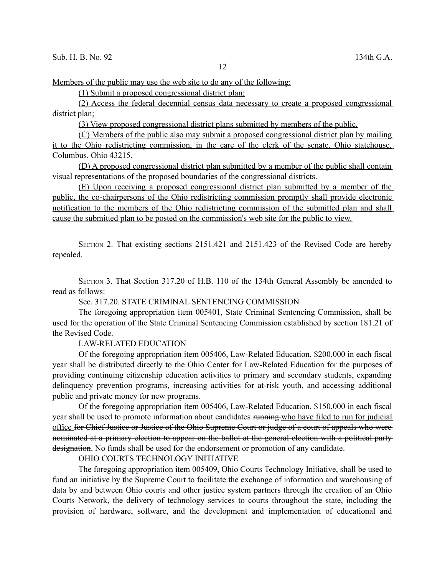Members of the public may use the web site to do any of the following:

(1) Submit a proposed congressional district plan;

(2) Access the federal decennial census data necessary to create a proposed congressional district plan;

(3) View proposed congressional district plans submitted by members of the public.

(C) Members of the public also may submit a proposed congressional district plan by mailing it to the Ohio redistricting commission, in the care of the clerk of the senate, Ohio statehouse, Columbus, Ohio 43215.

(D) A proposed congressional district plan submitted by a member of the public shall contain visual representations of the proposed boundaries of the congressional districts.

(E) Upon receiving a proposed congressional district plan submitted by a member of the public, the co-chairpersons of the Ohio redistricting commission promptly shall provide electronic notification to the members of the Ohio redistricting commission of the submitted plan and shall cause the submitted plan to be posted on the commission's web site for the public to view.

SECTION 2. That existing sections 2151.421 and 2151.423 of the Revised Code are hereby repealed.

SECTION 3. That Section 317.20 of H.B. 110 of the 134th General Assembly be amended to read as follows:

Sec. 317.20. STATE CRIMINAL SENTENCING COMMISSION

The foregoing appropriation item 005401, State Criminal Sentencing Commission, shall be used for the operation of the State Criminal Sentencing Commission established by section 181.21 of the Revised Code.

LAW-RELATED EDUCATION

Of the foregoing appropriation item 005406, Law-Related Education, \$200,000 in each fiscal year shall be distributed directly to the Ohio Center for Law-Related Education for the purposes of providing continuing citizenship education activities to primary and secondary students, expanding delinquency prevention programs, increasing activities for at-risk youth, and accessing additional public and private money for new programs.

Of the foregoing appropriation item 005406, Law-Related Education, \$150,000 in each fiscal year shall be used to promote information about candidates running who have filed to run for judicial office for Chief Justice or Justice of the Ohio Supreme Court or judge of a court of appeals who were nominated at a primary election to appear on the ballot at the general election with a political party designation. No funds shall be used for the endorsement or promotion of any candidate.

OHIO COURTS TECHNOLOGY INITIATIVE

The foregoing appropriation item 005409, Ohio Courts Technology Initiative, shall be used to fund an initiative by the Supreme Court to facilitate the exchange of information and warehousing of data by and between Ohio courts and other justice system partners through the creation of an Ohio Courts Network, the delivery of technology services to courts throughout the state, including the provision of hardware, software, and the development and implementation of educational and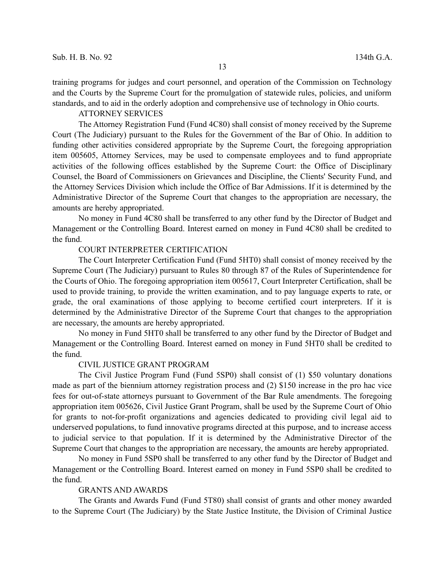training programs for judges and court personnel, and operation of the Commission on Technology and the Courts by the Supreme Court for the promulgation of statewide rules, policies, and uniform standards, and to aid in the orderly adoption and comprehensive use of technology in Ohio courts.

## ATTORNEY SERVICES

The Attorney Registration Fund (Fund 4C80) shall consist of money received by the Supreme Court (The Judiciary) pursuant to the Rules for the Government of the Bar of Ohio. In addition to funding other activities considered appropriate by the Supreme Court, the foregoing appropriation item 005605, Attorney Services, may be used to compensate employees and to fund appropriate activities of the following offices established by the Supreme Court: the Office of Disciplinary Counsel, the Board of Commissioners on Grievances and Discipline, the Clients' Security Fund, and the Attorney Services Division which include the Office of Bar Admissions. If it is determined by the Administrative Director of the Supreme Court that changes to the appropriation are necessary, the amounts are hereby appropriated.

No money in Fund 4C80 shall be transferred to any other fund by the Director of Budget and Management or the Controlling Board. Interest earned on money in Fund 4C80 shall be credited to the fund.

### COURT INTERPRETER CERTIFICATION

The Court Interpreter Certification Fund (Fund 5HT0) shall consist of money received by the Supreme Court (The Judiciary) pursuant to Rules 80 through 87 of the Rules of Superintendence for the Courts of Ohio. The foregoing appropriation item 005617, Court Interpreter Certification, shall be used to provide training, to provide the written examination, and to pay language experts to rate, or grade, the oral examinations of those applying to become certified court interpreters. If it is determined by the Administrative Director of the Supreme Court that changes to the appropriation are necessary, the amounts are hereby appropriated.

No money in Fund 5HT0 shall be transferred to any other fund by the Director of Budget and Management or the Controlling Board. Interest earned on money in Fund 5HT0 shall be credited to the fund.

#### CIVIL JUSTICE GRANT PROGRAM

The Civil Justice Program Fund (Fund 5SP0) shall consist of (1) \$50 voluntary donations made as part of the biennium attorney registration process and (2) \$150 increase in the pro hac vice fees for out-of-state attorneys pursuant to Government of the Bar Rule amendments. The foregoing appropriation item 005626, Civil Justice Grant Program, shall be used by the Supreme Court of Ohio for grants to not-for-profit organizations and agencies dedicated to providing civil legal aid to underserved populations, to fund innovative programs directed at this purpose, and to increase access to judicial service to that population. If it is determined by the Administrative Director of the Supreme Court that changes to the appropriation are necessary, the amounts are hereby appropriated.

No money in Fund 5SP0 shall be transferred to any other fund by the Director of Budget and Management or the Controlling Board. Interest earned on money in Fund 5SP0 shall be credited to the fund.

### GRANTS AND AWARDS

The Grants and Awards Fund (Fund 5T80) shall consist of grants and other money awarded to the Supreme Court (The Judiciary) by the State Justice Institute, the Division of Criminal Justice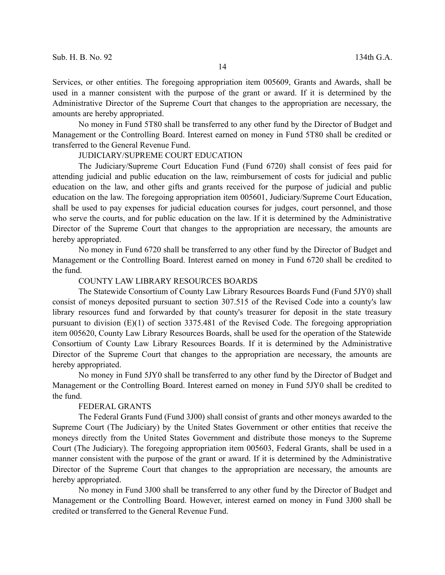Services, or other entities. The foregoing appropriation item 005609, Grants and Awards, shall be used in a manner consistent with the purpose of the grant or award. If it is determined by the Administrative Director of the Supreme Court that changes to the appropriation are necessary, the amounts are hereby appropriated.

No money in Fund 5T80 shall be transferred to any other fund by the Director of Budget and Management or the Controlling Board. Interest earned on money in Fund 5T80 shall be credited or transferred to the General Revenue Fund.

# JUDICIARY/SUPREME COURT EDUCATION

The Judiciary/Supreme Court Education Fund (Fund 6720) shall consist of fees paid for attending judicial and public education on the law, reimbursement of costs for judicial and public education on the law, and other gifts and grants received for the purpose of judicial and public education on the law. The foregoing appropriation item 005601, Judiciary/Supreme Court Education, shall be used to pay expenses for judicial education courses for judges, court personnel, and those who serve the courts, and for public education on the law. If it is determined by the Administrative Director of the Supreme Court that changes to the appropriation are necessary, the amounts are hereby appropriated.

No money in Fund 6720 shall be transferred to any other fund by the Director of Budget and Management or the Controlling Board. Interest earned on money in Fund 6720 shall be credited to the fund.

### COUNTY LAW LIBRARY RESOURCES BOARDS

The Statewide Consortium of County Law Library Resources Boards Fund (Fund 5JY0) shall consist of moneys deposited pursuant to section 307.515 of the Revised Code into a county's law library resources fund and forwarded by that county's treasurer for deposit in the state treasury pursuant to division  $(E)(1)$  of section 3375.481 of the Revised Code. The foregoing appropriation item 005620, County Law Library Resources Boards, shall be used for the operation of the Statewide Consortium of County Law Library Resources Boards. If it is determined by the Administrative Director of the Supreme Court that changes to the appropriation are necessary, the amounts are hereby appropriated.

No money in Fund 5JY0 shall be transferred to any other fund by the Director of Budget and Management or the Controlling Board. Interest earned on money in Fund 5JY0 shall be credited to the fund.

#### FEDERAL GRANTS

The Federal Grants Fund (Fund 3J00) shall consist of grants and other moneys awarded to the Supreme Court (The Judiciary) by the United States Government or other entities that receive the moneys directly from the United States Government and distribute those moneys to the Supreme Court (The Judiciary). The foregoing appropriation item 005603, Federal Grants, shall be used in a manner consistent with the purpose of the grant or award. If it is determined by the Administrative Director of the Supreme Court that changes to the appropriation are necessary, the amounts are hereby appropriated.

No money in Fund 3J00 shall be transferred to any other fund by the Director of Budget and Management or the Controlling Board. However, interest earned on money in Fund 3J00 shall be credited or transferred to the General Revenue Fund.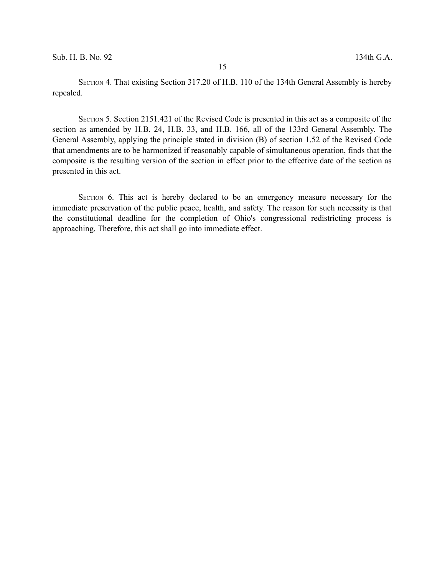SECTION 4. That existing Section 317.20 of H.B. 110 of the 134th General Assembly is hereby repealed.

SECTION 5. Section 2151.421 of the Revised Code is presented in this act as a composite of the section as amended by H.B. 24, H.B. 33, and H.B. 166, all of the 133rd General Assembly. The General Assembly, applying the principle stated in division (B) of section 1.52 of the Revised Code that amendments are to be harmonized if reasonably capable of simultaneous operation, finds that the composite is the resulting version of the section in effect prior to the effective date of the section as presented in this act.

SECTION 6. This act is hereby declared to be an emergency measure necessary for the immediate preservation of the public peace, health, and safety. The reason for such necessity is that the constitutional deadline for the completion of Ohio's congressional redistricting process is approaching. Therefore, this act shall go into immediate effect.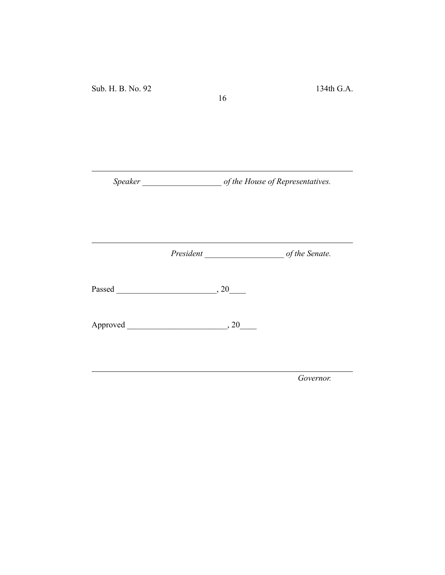*Speaker \_\_\_\_\_\_\_\_\_\_\_\_\_\_\_\_\_\_\_ of the House of Representatives.*

16

*President \_\_\_\_\_\_\_\_\_\_\_\_\_\_\_\_\_\_\_ of the Senate.*

Passed \_\_\_\_\_\_\_\_\_\_\_\_\_\_\_\_\_\_\_\_\_\_\_\_, 20\_\_\_\_

Approved \_\_\_\_\_\_\_\_\_\_\_\_\_\_\_\_\_\_\_\_\_\_\_\_, 20\_\_\_\_

*Governor.*